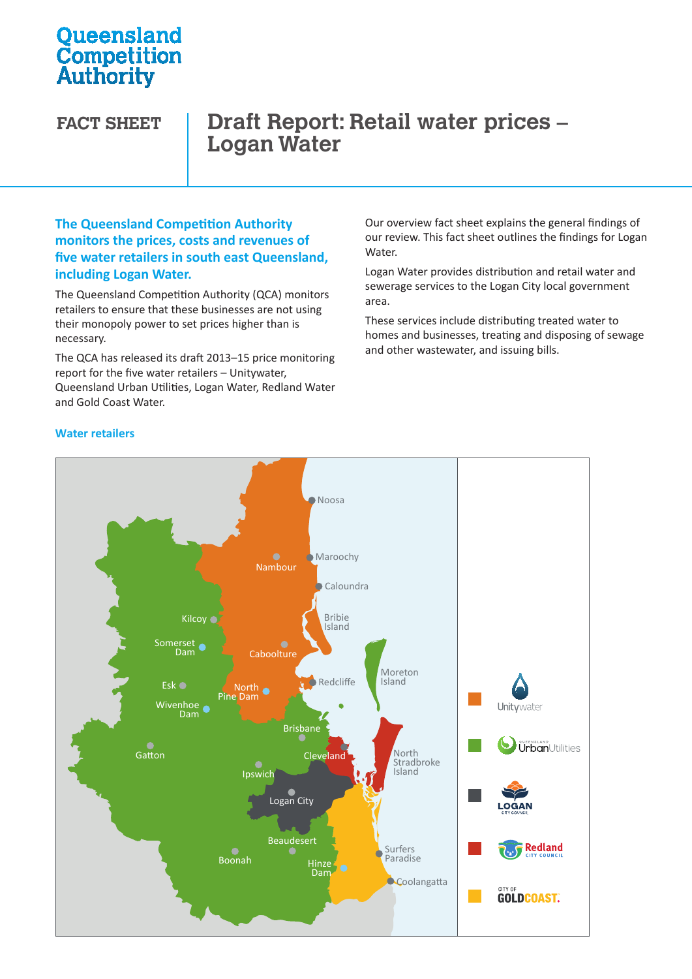# **Oueensland Competition**<br>Authority

### **FACT SHEET Draft Report: Retail water prices – Logan Water**

### **The Queensland Competition Authority monitors the prices, costs and revenues of five water retailers in south east Queensland, including Logan Water.**

The Queensland Competition Authority (QCA) monitors retailers to ensure that these businesses are not using their monopoly power to set prices higher than is necessary.

The QCA has released its draft 2013–15 price monitoring report for the five water retailers – Unitywater, Queensland Urban Utilities, Logan Water, Redland Water Urban Utilities Water Water and Gold Coast Water.

Our overview fact sheet explains the general findings of our review. This fact sheet outlines the findings for Logan Water.

Logan Water provides distribution and retail water and sewerage services to the Logan City local government area.

These services include distributing treated water to homes and businesses, treating and disposing of sewage and other wastewater, and issuing bills.



### **Water retailers**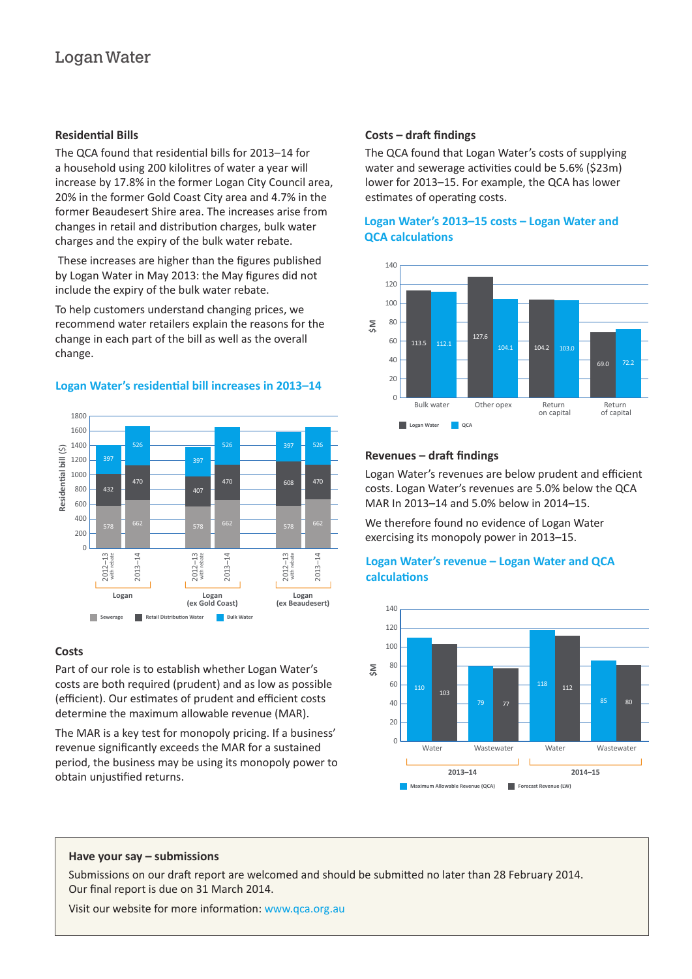### **Residential Bills**

The QCA found that residential bills for 2013–14 for a household using 200 kilolitres of water a year will increase by 17.8% in the former Logan City Council area, 20% in the former Gold Coast City area and 4.7% in the former Beaudesert Shire area. The increases arise from changes in retail and distribution charges, bulk water charges and the expiry of the bulk water rebate.

 These increases are higher than the figures published by Logan Water in May 2013: the May figures did not include the expiry of the bulk water rebate.

To help customers understand changing prices, we recommend water retailers explain the reasons for the change in each part of the bill as well as the overall change. commend water retailers explain the reasons for the<br>hange in each part of the bill as well as the overall<br>hange.



### **Logan Water's residential bill increases in 2013–14**

## **Costs – draft findings Logan** 800 50 **Residenal bill** (\$)

The QCA found that Logan Water's costs of supplying water and sewerage activities could be 5.6% (\$23m) lower for 2013-15. For example, the QCA has lower estimates of operating costs. b t  $\overline{a}$ 2012–13 2013–14

### **Logan Water's 2013–15 costs – Logan Water and QCA calculations Logan**



#### Revenues – draft findings 113.5 104.1

Logan Water's revenues are below prudent and efficient costs. Logan Water's revenues are 5.0% below the QCA 20 MAR In 2013–14 and 5.0% below in 2014–15.

We therefore found no evidence of Logan Water exercising its monopoly power in 2013-15.

### **Logan Water's revenue – Logan Water and QCA**  80 **\$M calculations**  60



### **Costs**

Part of our role is to establish whether Logan Water's costs are both required (prudent) and as low as possible (efficient). Our estimates of prudent and efficient costs determine the maximum allowable revenue (MAR).

The MAR is a key test for monopoly pricing. If a business' revenue significantly exceeds the MAR for a sustained period, the business may be using its monopoly power to obtain unjustified returns.

### **Have your say – submissions**  0

Submissions on our draft report are welcomed and should be submitted no later than 28 February 2014. Our final report is due on 31 March 2014.

Visit our website for more information: www.qca.org.au